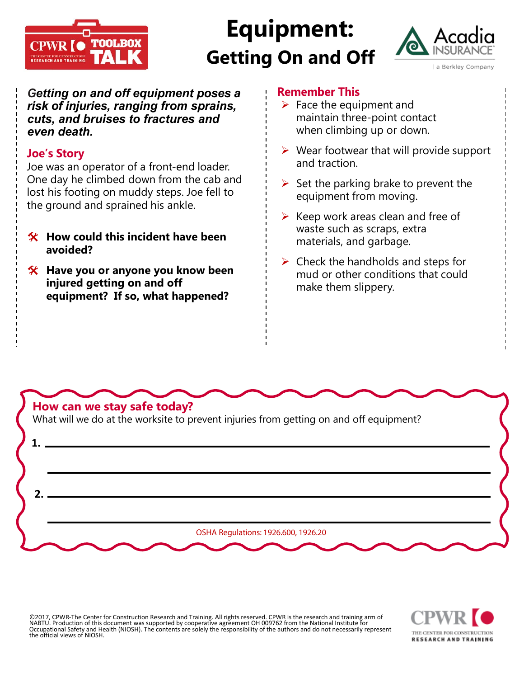

## **Equipment: Getting On and Off**



*Getting on and off equipment poses a risk of injuries, ranging from sprains, cuts, and bruises to fractures and even death.*

## **Joe's Story**

Joe was an operator of a front-end loader. One day he climbed down from the cab and lost his footing on muddy steps. Joe fell to the ground and sprained his ankle.

- **How could this incident have been avoided?**
- **Have you or anyone you know been injured getting on and off equipment? If so, what happened?**

## **Remember This**

- $\triangleright$  Face the equipment and maintain three-point contact when climbing up or down.
- $\triangleright$  Wear footwear that will provide support and traction.
- $\triangleright$  Set the parking brake to prevent the equipment from moving.
- $\triangleright$  Keep work areas clean and free of waste such as scraps, extra materials, and garbage.
- $\triangleright$  Check the handholds and steps for mud or other conditions that could make them slippery.



©2017, CPWR-The Center for Construction Research and Training. All rights reserved. CPWR is the research and training arm of<br>NABTU. Production of this document was supported by cooperative agreement OH 009762 from the Nati Occupational Safety and Health (NIOSH). The contents are solely the responsibility of the authors and do not necessarily represent the official views of NIOSH.